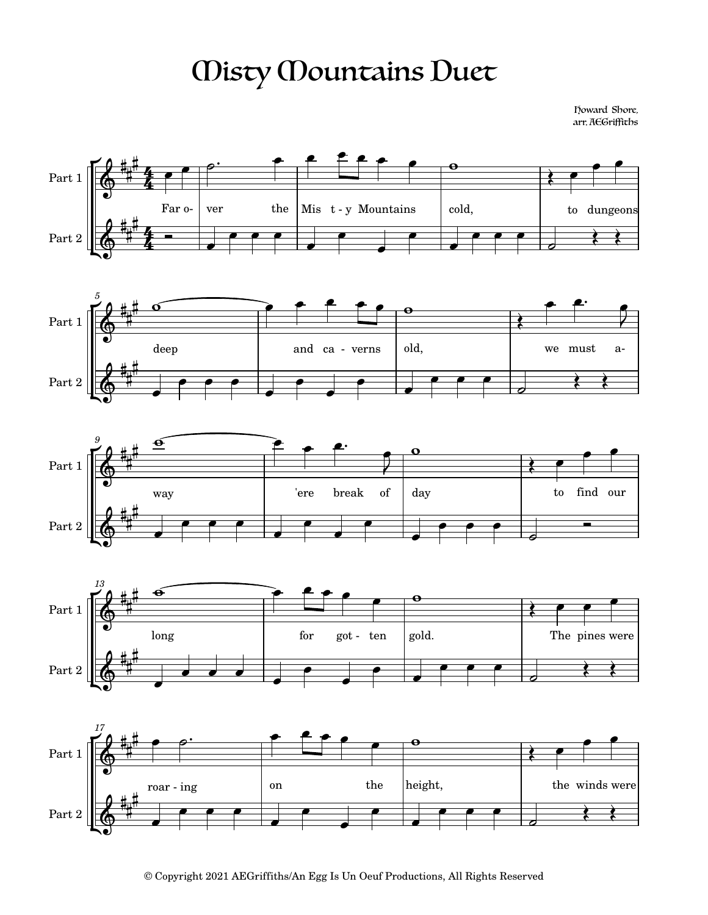## Misty Mountains Duet

Howard Shore, arr. AEGriffiths